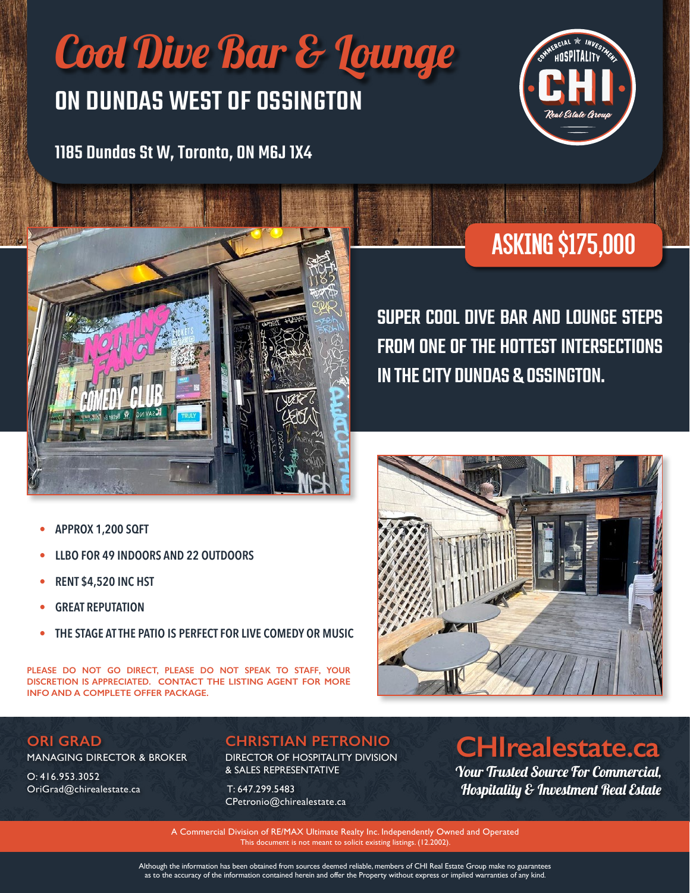# Cool Dive Bar & Lounge

### ON DUNDAS WEST OF OSSINGTON

1185 Dundas St W, Toronto, ON M6J 1X4





# Asking \$175,000

SUPER COOL DIVE BAR AND LOUNGE STEPS FROM ONE OF THE HOTTEST INTERSECTIONS IN THE CITY DUNDAS & OSSINGTON.

#### **• APPROX 1,200 SQFT**

- **• LLBO FOR 49 INDOORS AND 22 OUTDOORS**
- **• RENT \$4,520 INC HST**
- **• GREAT REPUTATION**
- **• THE STAGE AT THE PATIO IS PERFECT FOR LIVE COMEDY OR MUSIC**

**PLEASE DO NOT GO DIRECT, PLEASE DO NOT SPEAK TO STAFF, YOUR DISCRETION IS APPRECIATED. CONTACT THE LISTING AGENT FOR MORE INFO AND A COMPLETE OFFER PACKAGE.**



MANAGING DIRECTOR & BROKER

O: 416.953.3052 OriGrad@chirealestate.ca

#### **CHRISTIAN PETRONIO**

DIRECTOR OF HOSPITALITY DIVISION & SALES REPRESENTATIVE

 T: 647.299.5483 CPetronio@chirealestate.ca

### **CHIrealestate.ca**

Your Trusted Source For Commercial, Hospitality & Investment Real Estate

A Commercial Division of RE/MAX Ultimate Realty Inc. Independently Owned and Operated This document is not meant to solicit existing listings. (12.2002).

Although the information has been obtained from sources deemed reliable, members of CHI Real Estate Group make no guarantees as to the accuracy of the information contained herein and offer the Property without express or implied warranties of any kind.